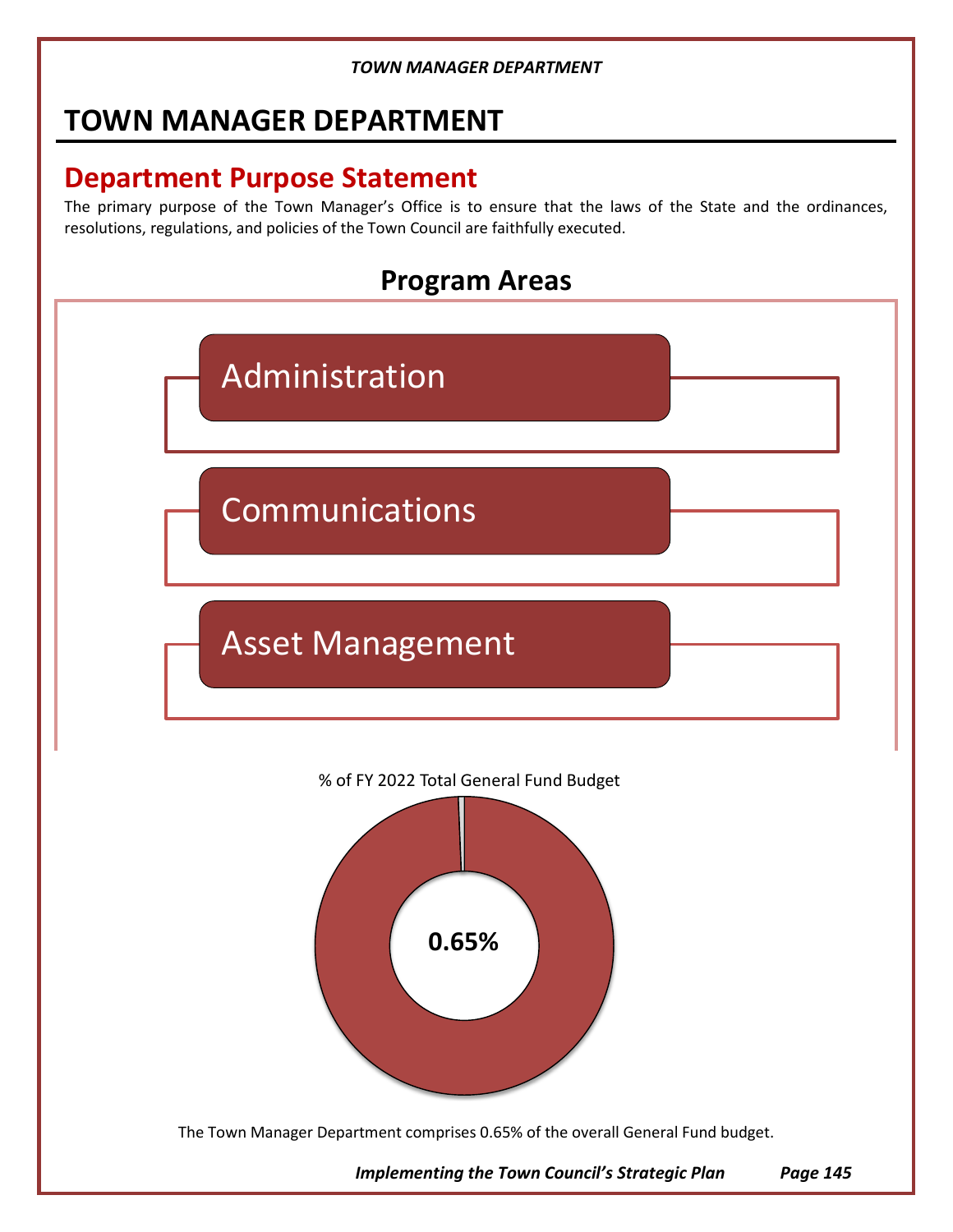# **TOWN MANAGER DEPARTMENT**

# **Department Purpose Statement**

The primary purpose of the Town Manager's Office is to ensure that the laws of the State and the ordinances, resolutions, regulations, and policies of the Town Council are faithfully executed.





The Town Manager Department comprises 0.65% of the overall General Fund budget.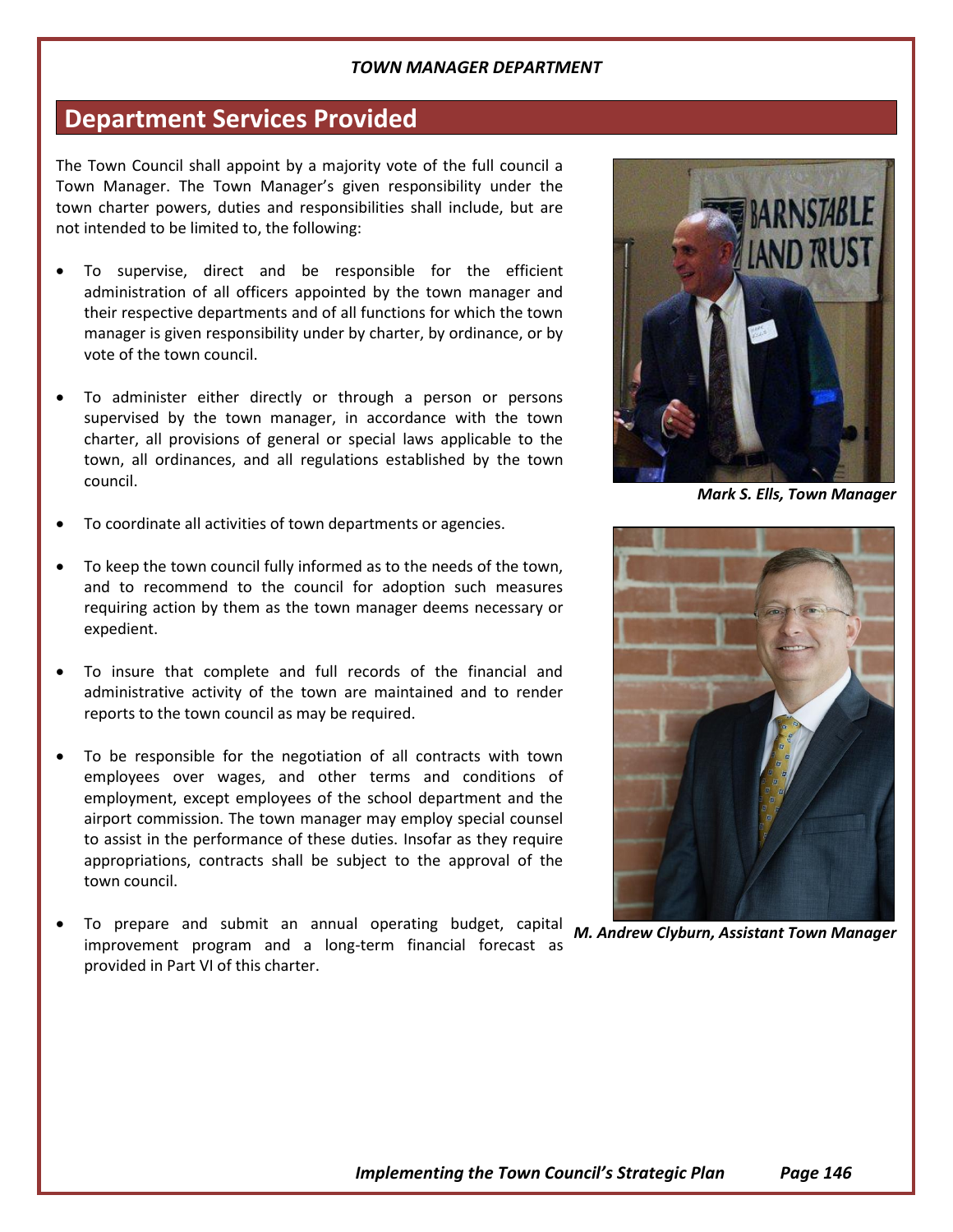### **Department Services Provided**

The Town Council shall appoint by a majority vote of the full council a Town Manager. The Town Manager's given responsibility under the town charter powers, duties and responsibilities shall include, but are not intended to be limited to, the following:

- To supervise, direct and be responsible for the efficient administration of all officers appointed by the town manager and their respective departments and of all functions for which the town manager is given responsibility under by charter, by ordinance, or by vote of the town council.
- To administer either directly or through a person or persons supervised by the town manager, in accordance with the town charter, all provisions of general or special laws applicable to the town, all ordinances, and all regulations established by the town council.
- To coordinate all activities of town departments or agencies.
- To keep the town council fully informed as to the needs of the town, and to recommend to the council for adoption such measures requiring action by them as the town manager deems necessary or expedient.
- To insure that complete and full records of the financial and administrative activity of the town are maintained and to render reports to the town council as may be required.
- To be responsible for the negotiation of all contracts with town employees over wages, and other terms and conditions of employment, except employees of the school department and the airport commission. The town manager may employ special counsel to assist in the performance of these duties. Insofar as they require appropriations, contracts shall be subject to the approval of the town council.
- To prepare and submit an annual operating budget, capital *M. Andrew Clyburn, Assistant Town Manager*improvement program and a long-term financial forecast as provided in Part VI of this charter.



*Mark S. Ells, Town Manager*

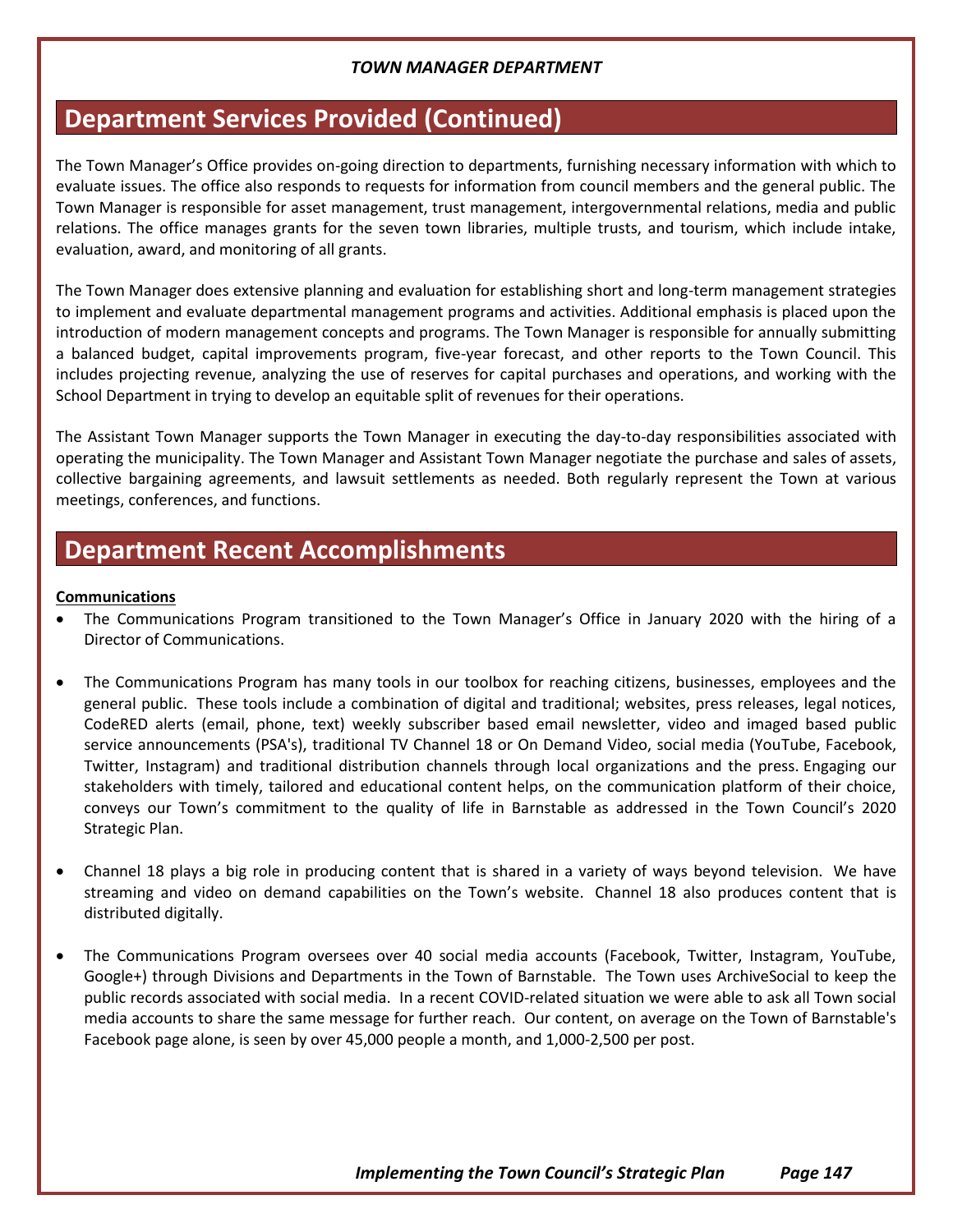# **Department Services Provided (Continued)**

The Town Manager's Office provides on-going direction to departments, furnishing necessary information with which to evaluate issues. The office also responds to requests for information from council members and the general public. The Town Manager is responsible for asset management, trust management, intergovernmental relations, media and public relations. The office manages grants for the seven town libraries, multiple trusts, and tourism, which include intake, evaluation, award, and monitoring of all grants.

The Town Manager does extensive planning and evaluation for establishing short and long-term management strategies to implement and evaluate departmental management programs and activities. Additional emphasis is placed upon the introduction of modern management concepts and programs. The Town Manager is responsible for annually submitting a balanced budget, capital improvements program, five-year forecast, and other reports to the Town Council. This includes projecting revenue, analyzing the use of reserves for capital purchases and operations, and working with the School Department in trying to develop an equitable split of revenues for their operations.

The Assistant Town Manager supports the Town Manager in executing the day-to-day responsibilities associated with operating the municipality. The Town Manager and Assistant Town Manager negotiate the purchase and sales of assets, collective bargaining agreements, and lawsuit settlements as needed. Both regularly represent the Town at various meetings, conferences, and functions.

# **Department Recent Accomplishments**

#### **Communications**

- The Communications Program transitioned to the Town Manager's Office in January 2020 with the hiring of a Director of Communications.
- The Communications Program has many tools in our toolbox for reaching citizens, businesses, employees and the general public. These tools include a combination of digital and traditional; websites, press releases, legal notices, CodeRED alerts (email, phone, text) weekly subscriber based email newsletter, video and imaged based public service announcements (PSA's), traditional TV Channel 18 or On Demand Video, social media (YouTube, Facebook, Twitter, Instagram) and traditional distribution channels through local organizations and the press. Engaging our stakeholders with timely, tailored and educational content helps, on the communication platform of their choice, conveys our Town's commitment to the quality of life in Barnstable as addressed in the Town Council's 2020 Strategic Plan.
- Channel 18 plays a big role in producing content that is shared in a variety of ways beyond television. We have streaming and video on demand capabilities on the Town's website. Channel 18 also produces content that is distributed digitally.
- The Communications Program oversees over 40 social media accounts (Facebook, Twitter, Instagram, YouTube, Google+) through Divisions and Departments in the Town of Barnstable. The Town uses ArchiveSocial to keep the public records associated with social media. In a recent COVID-related situation we were able to ask all Town social media accounts to share the same message for further reach. Our content, on average on the Town of Barnstable's Facebook page alone, is seen by over 45,000 people a month, and 1,000-2,500 per post.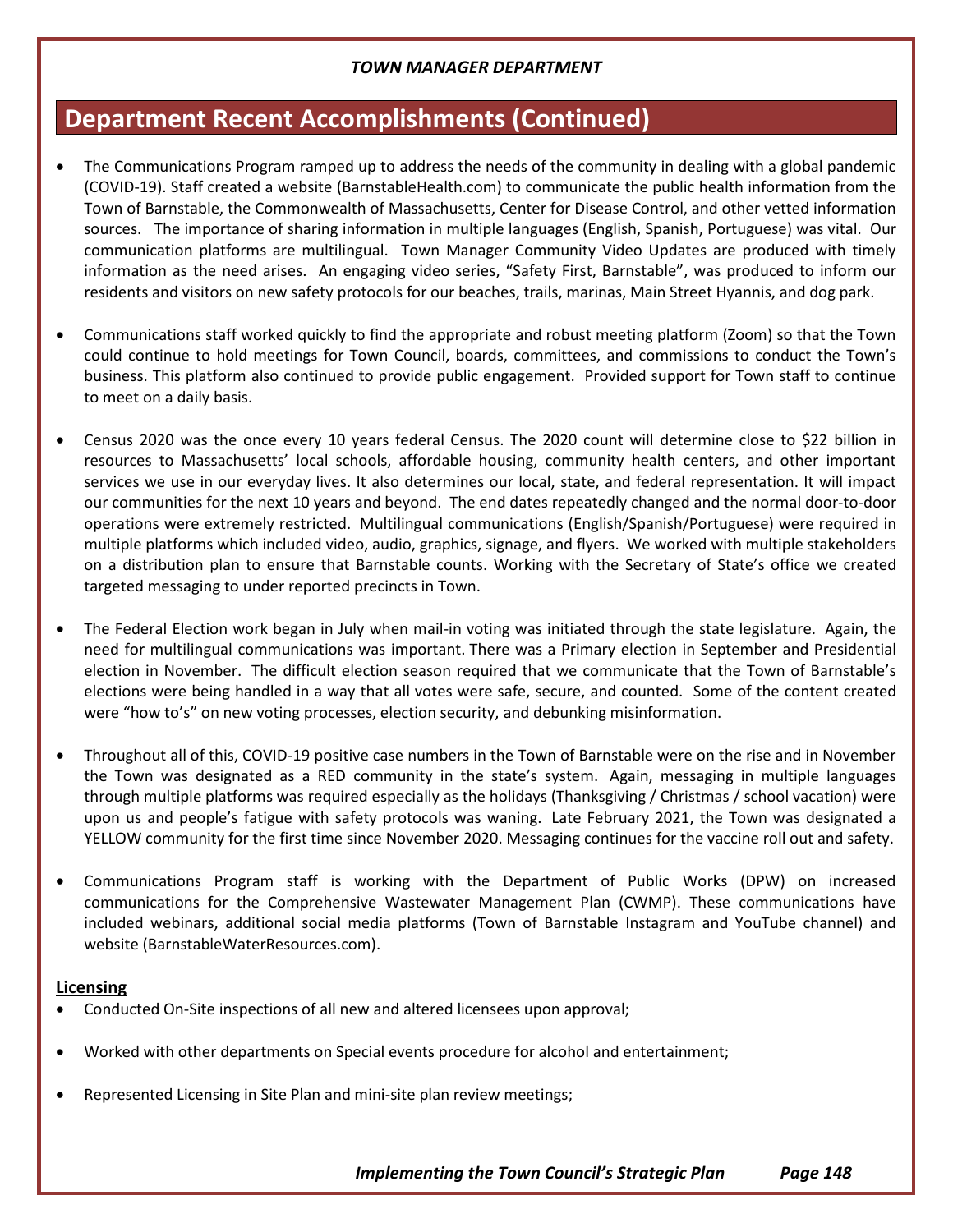# **Department Recent Accomplishments (Continued)**

- The Communications Program ramped up to address the needs of the community in dealing with a global pandemic (COVID-19). Staff created a website (BarnstableHealth.com) to communicate the public health information from the Town of Barnstable, the Commonwealth of Massachusetts, Center for Disease Control, and other vetted information sources. The importance of sharing information in multiple languages (English, Spanish, Portuguese) was vital. Our communication platforms are multilingual. Town Manager Community Video Updates are produced with timely information as the need arises. An engaging video series, "Safety First, Barnstable", was produced to inform our residents and visitors on new safety protocols for our beaches, trails, marinas, Main Street Hyannis, and dog park.
- Communications staff worked quickly to find the appropriate and robust meeting platform (Zoom) so that the Town could continue to hold meetings for Town Council, boards, committees, and commissions to conduct the Town's business. This platform also continued to provide public engagement. Provided support for Town staff to continue to meet on a daily basis.
- Census 2020 was the once every 10 years federal Census. The 2020 count will determine close to \$22 billion in resources to Massachusetts' local schools, affordable housing, community health centers, and other important services we use in our everyday lives. It also determines our local, state, and federal representation. It will impact our communities for the next 10 years and beyond. The end dates repeatedly changed and the normal door-to-door operations were extremely restricted. Multilingual communications (English/Spanish/Portuguese) were required in multiple platforms which included video, audio, graphics, signage, and flyers. We worked with multiple stakeholders on a distribution plan to ensure that Barnstable counts. Working with the Secretary of State's office we created targeted messaging to under reported precincts in Town.
- The Federal Election work began in July when mail-in voting was initiated through the state legislature. Again, the need for multilingual communications was important. There was a Primary election in September and Presidential election in November. The difficult election season required that we communicate that the Town of Barnstable's elections were being handled in a way that all votes were safe, secure, and counted. Some of the content created were "how to's" on new voting processes, election security, and debunking misinformation.
- Throughout all of this, COVID-19 positive case numbers in the Town of Barnstable were on the rise and in November the Town was designated as a RED community in the state's system. Again, messaging in multiple languages through multiple platforms was required especially as the holidays (Thanksgiving / Christmas / school vacation) were upon us and people's fatigue with safety protocols was waning. Late February 2021, the Town was designated a YELLOW community for the first time since November 2020. Messaging continues for the vaccine roll out and safety.
- Communications Program staff is working with the Department of Public Works (DPW) on increased communications for the Comprehensive Wastewater Management Plan (CWMP). These communications have included webinars, additional social media platforms (Town of Barnstable Instagram and YouTube channel) and website (BarnstableWaterResources.com).

### **Licensing**

- Conducted On-Site inspections of all new and altered licensees upon approval;
- Worked with other departments on Special events procedure for alcohol and entertainment;
- Represented Licensing in Site Plan and mini-site plan review meetings;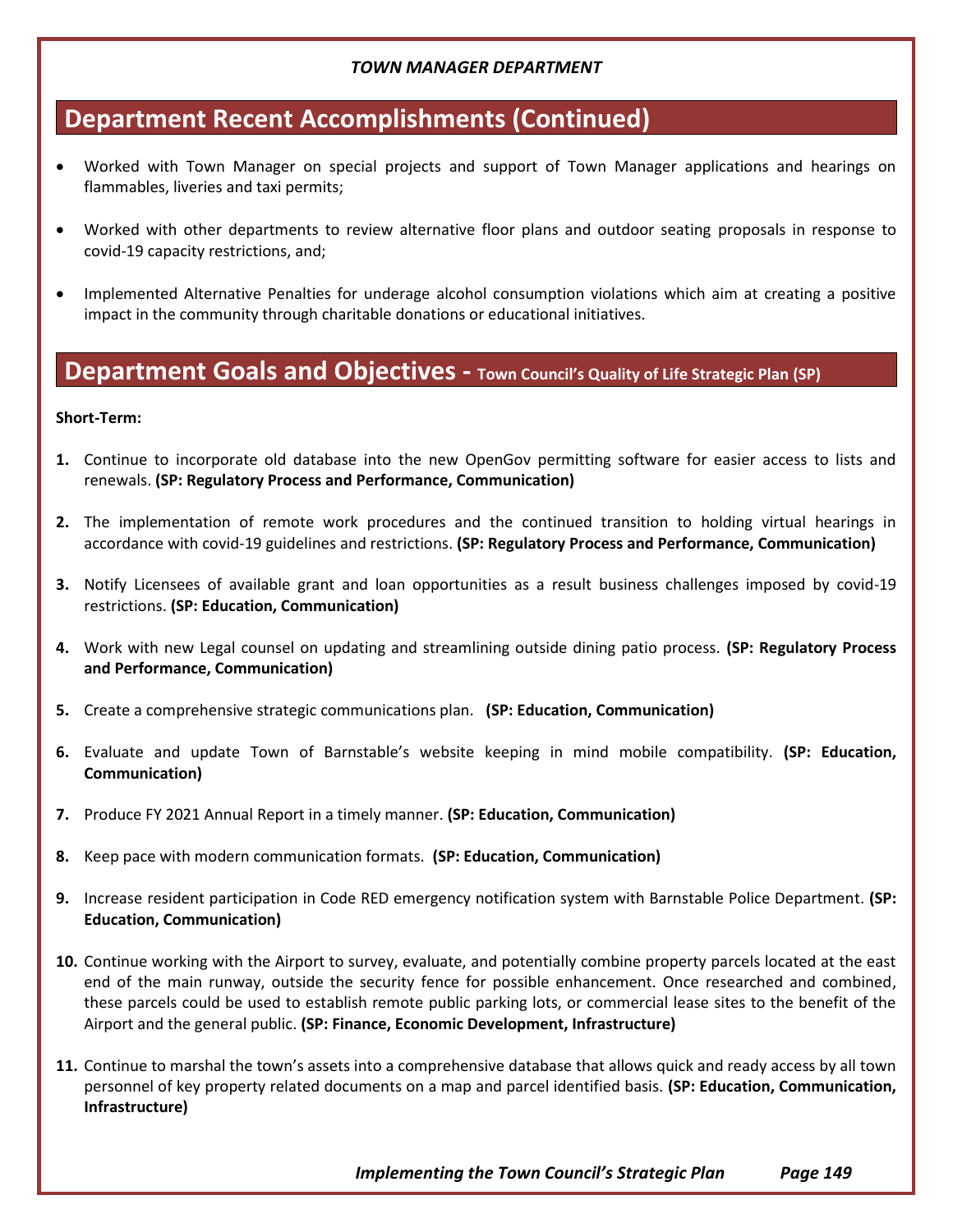# **Department Recent Accomplishments (Continued)**

- Worked with Town Manager on special projects and support of Town Manager applications and hearings on flammables, liveries and taxi permits;
- Worked with other departments to review alternative floor plans and outdoor seating proposals in response to covid-19 capacity restrictions, and;
- Implemented Alternative Penalties for underage alcohol consumption violations which aim at creating a positive impact in the community through charitable donations or educational initiatives.

## **Department Goals and Objectives - Town Council's Quality of Life Strategic Plan (SP)**

#### **Short-Term:**

- **1.** Continue to incorporate old database into the new OpenGov permitting software for easier access to lists and renewals. **(SP: Regulatory Process and Performance, Communication)**
- **2.** The implementation of remote work procedures and the continued transition to holding virtual hearings in accordance with covid-19 guidelines and restrictions. **(SP: Regulatory Process and Performance, Communication)**
- **3.** Notify Licensees of available grant and loan opportunities as a result business challenges imposed by covid-19 restrictions. **(SP: Education, Communication)**
- **4.** Work with new Legal counsel on updating and streamlining outside dining patio process. **(SP: Regulatory Process and Performance, Communication)**
- **5.** Create a comprehensive strategic communications plan. **(SP: Education, Communication)**
- **6.** Evaluate and update Town of Barnstable's website keeping in mind mobile compatibility. **(SP: Education, Communication)**
- **7.** Produce FY 2021 Annual Report in a timely manner. **(SP: Education, Communication)**
- **8.** Keep pace with modern communication formats. **(SP: Education, Communication)**
- **9.** Increase resident participation in Code RED emergency notification system with Barnstable Police Department. **(SP: Education, Communication)**
- **10.** Continue working with the Airport to survey, evaluate, and potentially combine property parcels located at the east end of the main runway, outside the security fence for possible enhancement. Once researched and combined, these parcels could be used to establish remote public parking lots, or commercial lease sites to the benefit of the Airport and the general public. **(SP: Finance, Economic Development, Infrastructure)**
- **11.** Continue to marshal the town's assets into a comprehensive database that allows quick and ready access by all town personnel of key property related documents on a map and parcel identified basis. **(SP: Education, Communication, Infrastructure)**

*Implementing the Town Council's Strategic Plan Page 149*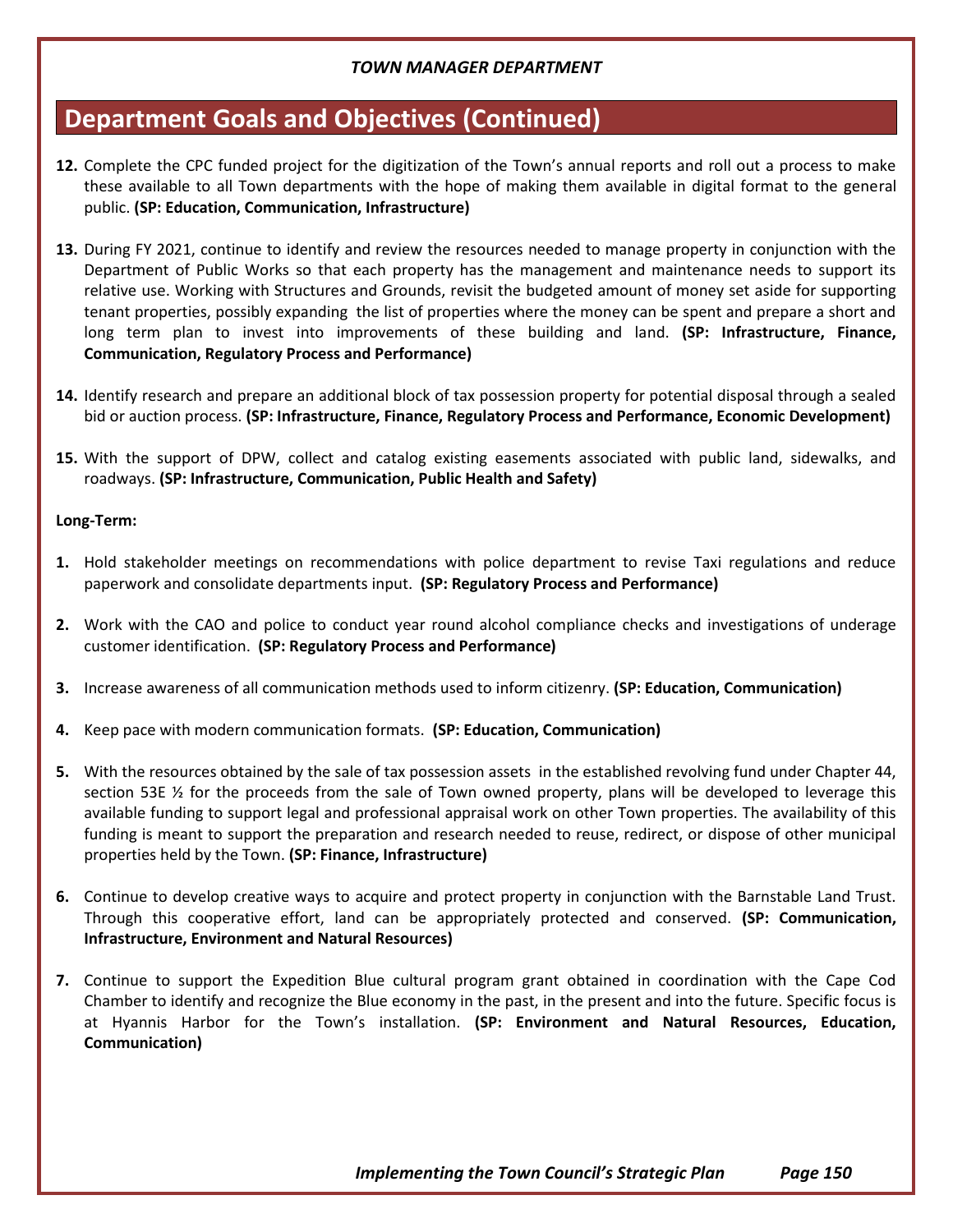# **Department Goals and Objectives (Continued)**

- **12.** Complete the CPC funded project for the digitization of the Town's annual reports and roll out a process to make these available to all Town departments with the hope of making them available in digital format to the general public. **(SP: Education, Communication, Infrastructure)**
- **13.** During FY 2021, continue to identify and review the resources needed to manage property in conjunction with the Department of Public Works so that each property has the management and maintenance needs to support its relative use. Working with Structures and Grounds, revisit the budgeted amount of money set aside for supporting tenant properties, possibly expanding the list of properties where the money can be spent and prepare a short and long term plan to invest into improvements of these building and land. **(SP: Infrastructure, Finance, Communication, Regulatory Process and Performance)**
- **14.** Identify research and prepare an additional block of tax possession property for potential disposal through a sealed bid or auction process. **(SP: Infrastructure, Finance, Regulatory Process and Performance, Economic Development)**
- **15.** With the support of DPW, collect and catalog existing easements associated with public land, sidewalks, and roadways. **(SP: Infrastructure, Communication, Public Health and Safety)**

#### **Long-Term:**

- **1.** Hold stakeholder meetings on recommendations with police department to revise Taxi regulations and reduce paperwork and consolidate departments input. **(SP: Regulatory Process and Performance)**
- **2.** Work with the CAO and police to conduct year round alcohol compliance checks and investigations of underage customer identification. **(SP: Regulatory Process and Performance)**
- **3.** Increase awareness of all communication methods used to inform citizenry. **(SP: Education, Communication)**
- **4.** Keep pace with modern communication formats. **(SP: Education, Communication)**
- **5.** With the resources obtained by the sale of tax possession assets in the established revolving fund under Chapter 44, section 53E ½ for the proceeds from the sale of Town owned property, plans will be developed to leverage this available funding to support legal and professional appraisal work on other Town properties. The availability of this funding is meant to support the preparation and research needed to reuse, redirect, or dispose of other municipal properties held by the Town. **(SP: Finance, Infrastructure)**
- **6.** Continue to develop creative ways to acquire and protect property in conjunction with the Barnstable Land Trust. Through this cooperative effort, land can be appropriately protected and conserved. **(SP: Communication, Infrastructure, Environment and Natural Resources)**
- **7.** Continue to support the Expedition Blue cultural program grant obtained in coordination with the Cape Cod Chamber to identify and recognize the Blue economy in the past, in the present and into the future. Specific focus is at Hyannis Harbor for the Town's installation. **(SP: Environment and Natural Resources, Education, Communication)**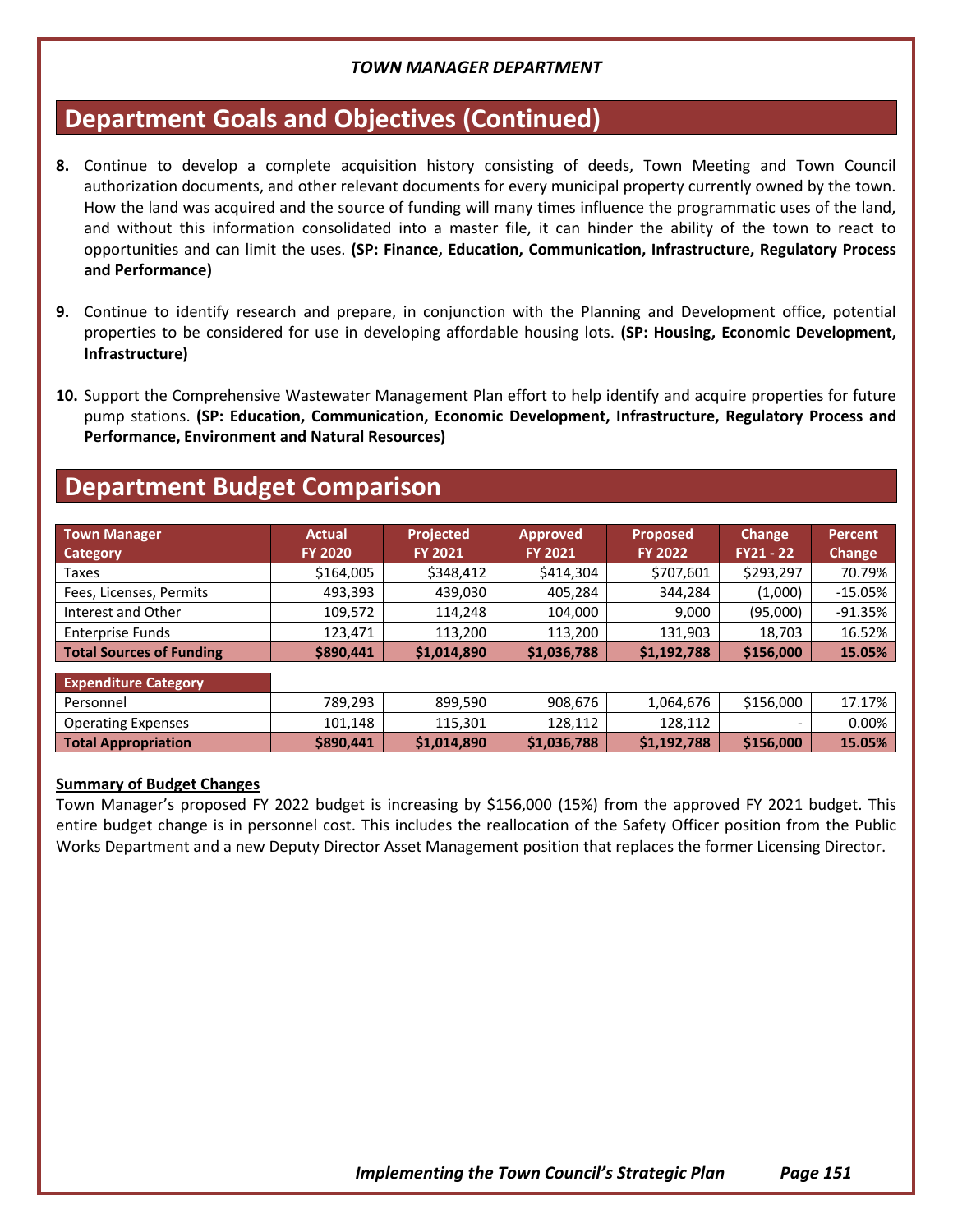# **Department Goals and Objectives (Continued)**

- **8.** Continue to develop a complete acquisition history consisting of deeds, Town Meeting and Town Council authorization documents, and other relevant documents for every municipal property currently owned by the town. How the land was acquired and the source of funding will many times influence the programmatic uses of the land, and without this information consolidated into a master file, it can hinder the ability of the town to react to opportunities and can limit the uses. **(SP: Finance, Education, Communication, Infrastructure, Regulatory Process and Performance)**
- **9.** Continue to identify research and prepare, in conjunction with the Planning and Development office, potential properties to be considered for use in developing affordable housing lots. **(SP: Housing, Economic Development, Infrastructure)**
- **10.** Support the Comprehensive Wastewater Management Plan effort to help identify and acquire properties for future pump stations. **(SP: Education, Communication, Economic Development, Infrastructure, Regulatory Process and Performance, Environment and Natural Resources)**

## **Department Budget Comparison**

| <b>Town Manager</b><br>Category | <b>Actual</b><br><b>FY 2020</b> | <b>Projected</b><br><b>FY 2021</b> | <b>Approved</b><br><b>FY 2021</b> | <b>Proposed</b><br><b>FY 2022</b> | Change<br>$FY21 - 22$ | <b>Percent</b><br>Change |
|---------------------------------|---------------------------------|------------------------------------|-----------------------------------|-----------------------------------|-----------------------|--------------------------|
| Taxes                           | \$164,005                       | \$348,412                          | \$414,304                         | \$707,601                         | \$293,297             | 70.79%                   |
| Fees, Licenses, Permits         | 493,393                         | 439,030                            | 405,284                           | 344,284                           | (1,000)               | $-15.05%$                |
| Interest and Other              | 109,572                         | 114.248                            | 104,000                           | 9,000                             | (95,000)              | $-91.35%$                |
| <b>Enterprise Funds</b>         | 123.471                         | 113,200                            | 113.200                           | 131,903                           | 18,703                | 16.52%                   |
| <b>Total Sources of Funding</b> | \$890,441                       | \$1,014,890                        | \$1,036,788                       | \$1,192,788                       | \$156,000             | 15.05%                   |
| <b>Expenditure Category</b>     |                                 |                                    |                                   |                                   |                       |                          |

| Personnel                  | 789.293   | 899.590    | 908,676     | 1,064,676   | \$156,000 | 17.17% |
|----------------------------|-----------|------------|-------------|-------------|-----------|--------|
| <b>Operating Expenses</b>  | 101.148   | 115,301    | 128.112     | 128.112     |           | 0.00%  |
| <b>Total Appropriation</b> | \$890.441 | S1.014.890 | \$1,036,788 | \$1.192.788 | \$156,000 | 15.05% |

#### **Summary of Budget Changes**

Town Manager's proposed FY 2022 budget is increasing by \$156,000 (15%) from the approved FY 2021 budget. This entire budget change is in personnel cost. This includes the reallocation of the Safety Officer position from the Public Works Department and a new Deputy Director Asset Management position that replaces the former Licensing Director.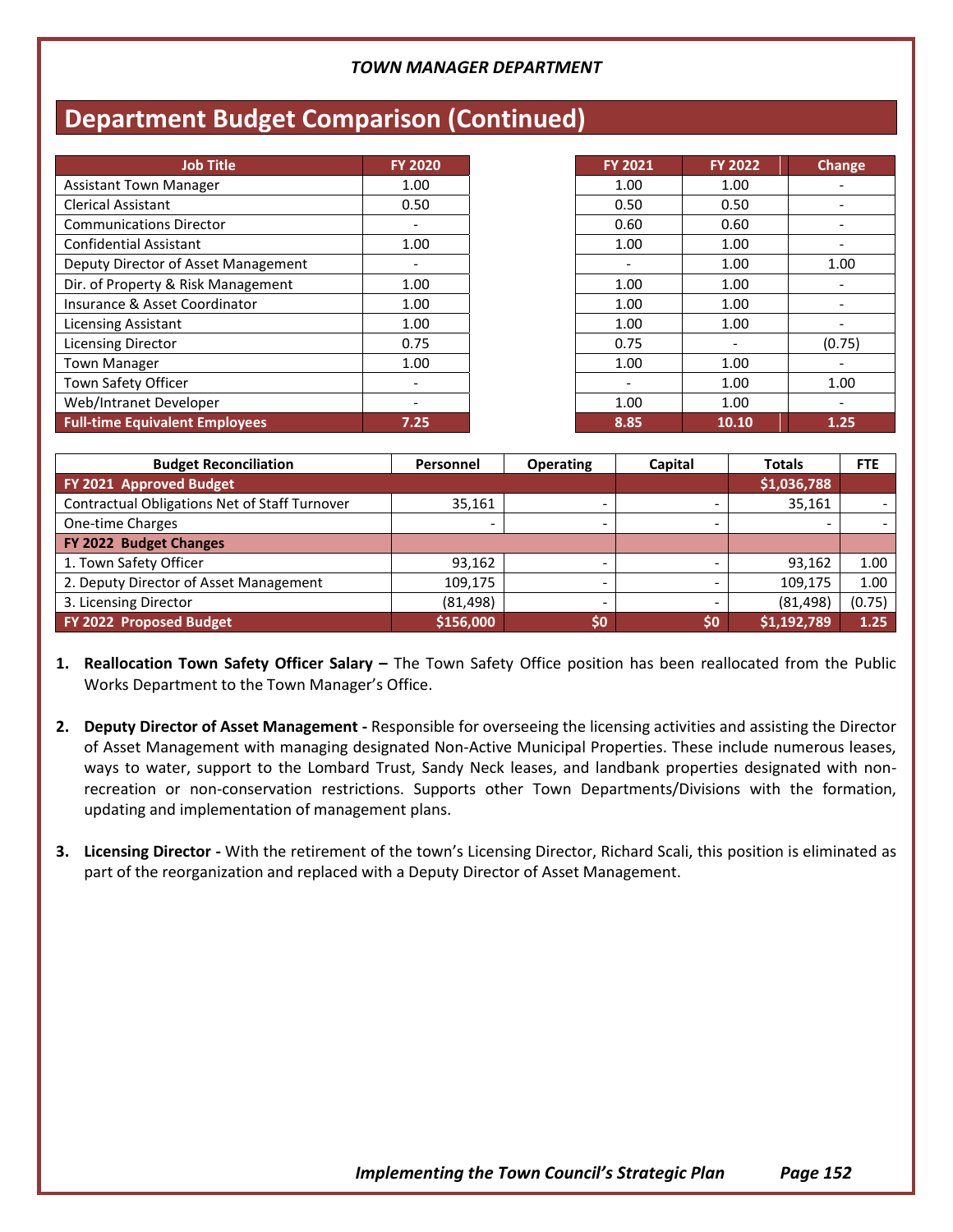# **Department Budget Comparison (Continued)**

| <b>Job Title</b>                      | <b>FY 2020</b> | <b>FY 2021</b>           | <b>FY 2022</b> | Change |
|---------------------------------------|----------------|--------------------------|----------------|--------|
| <b>Assistant Town Manager</b>         | 1.00           | 1.00                     | 1.00           |        |
| <b>Clerical Assistant</b>             | 0.50           | 0.50                     | 0.50           |        |
| <b>Communications Director</b>        |                | 0.60                     | 0.60           |        |
| <b>Confidential Assistant</b>         | 1.00           | 1.00                     | 1.00           |        |
| Deputy Director of Asset Management   | -              | $\overline{\phantom{a}}$ | 1.00           | 1.00   |
| Dir. of Property & Risk Management    | 1.00           | 1.00                     | 1.00           |        |
| Insurance & Asset Coordinator         | 1.00           | 1.00                     | 1.00           |        |
| <b>Licensing Assistant</b>            | 1.00           | 1.00                     | 1.00           |        |
| <b>Licensing Director</b>             | 0.75           | 0.75                     |                | (0.75) |
| <b>Town Manager</b>                   | 1.00           | 1.00                     | 1.00           |        |
| Town Safety Officer                   |                |                          | 1.00           | 1.00   |
| Web/Intranet Developer                |                | 1.00                     | 1.00           |        |
| <b>Full-time Equivalent Employees</b> | 7.25           | 8.85                     | 10.10          | 1.25   |

| <b>Budget Reconciliation</b>                  | <b>Personnel</b> | <b>Operating</b> | Capital | <b>Totals</b> | <b>FTE</b> |
|-----------------------------------------------|------------------|------------------|---------|---------------|------------|
| FY 2021 Approved Budget                       |                  |                  |         | \$1,036,788   |            |
| Contractual Obligations Net of Staff Turnover | 35,161           |                  |         | 35,161        |            |
| One-time Charges                              |                  |                  | -       | $\sim$        |            |
| FY 2022 Budget Changes                        |                  |                  |         |               |            |
| 1. Town Safety Officer                        | 93.162           |                  |         | 93.162        | 1.00       |
| 2. Deputy Director of Asset Management        | 109,175          |                  |         | 109,175       | 1.00       |
| 3. Licensing Director                         | (81, 498)        |                  |         | (81, 498)     | (0.75)     |
| FY 2022 Proposed Budget                       | \$156,000        | \$0              | \$0     | \$1,192,789   | 1.25       |

- 1. Reallocation Town Safety Officer Salary The Town Safety Office position has been reallocated from the Public Works Department to the Town Manager's Office.
- **2. Deputy Director of Asset Management -** Responsible for overseeing the licensing activities and assisting the Director of Asset Management with managing designated Non-Active Municipal Properties. These include numerous leases, ways to water, support to the Lombard Trust, Sandy Neck leases, and landbank properties designated with nonrecreation or non-conservation restrictions. Supports other Town Departments/Divisions with the formation, updating and implementation of management plans.
- **3. Licensing Director -** With the retirement of the town's Licensing Director, Richard Scali, this position is eliminated as part of the reorganization and replaced with a Deputy Director of Asset Management.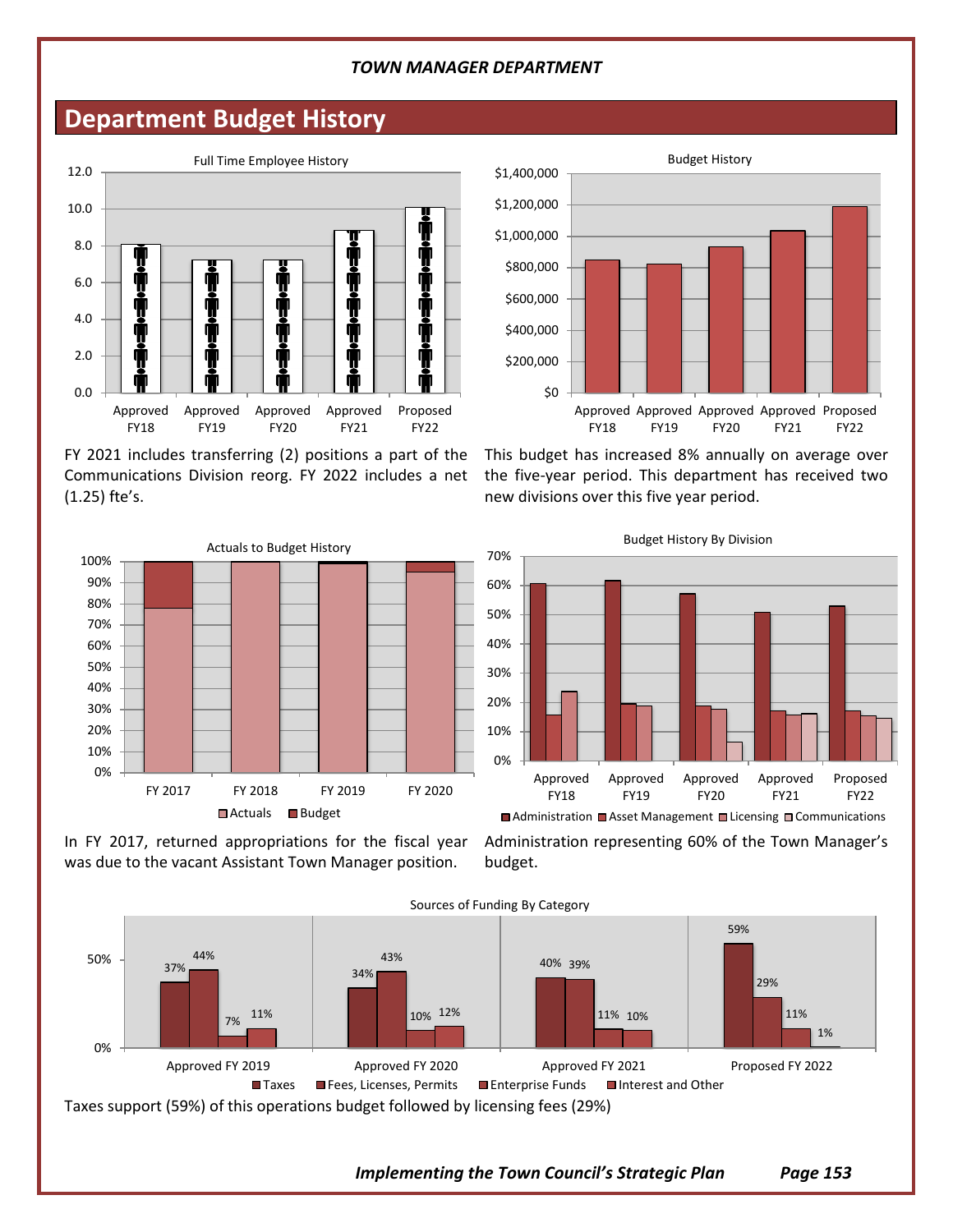## **Department Budget History**



FY 2021 includes transferring (2) positions a part of the Communications Division reorg. FY 2022 includes a net (1.25) fte's.



In FY 2017, returned appropriations for the fiscal year was due to the vacant Assistant Town Manager position.



This budget has increased 8% annually on average over the five-year period. This department has received two new divisions over this five year period.



Administration representing 60% of the Town Manager's budget.



*Implementing the Town Council's Strategic Plan Page 153*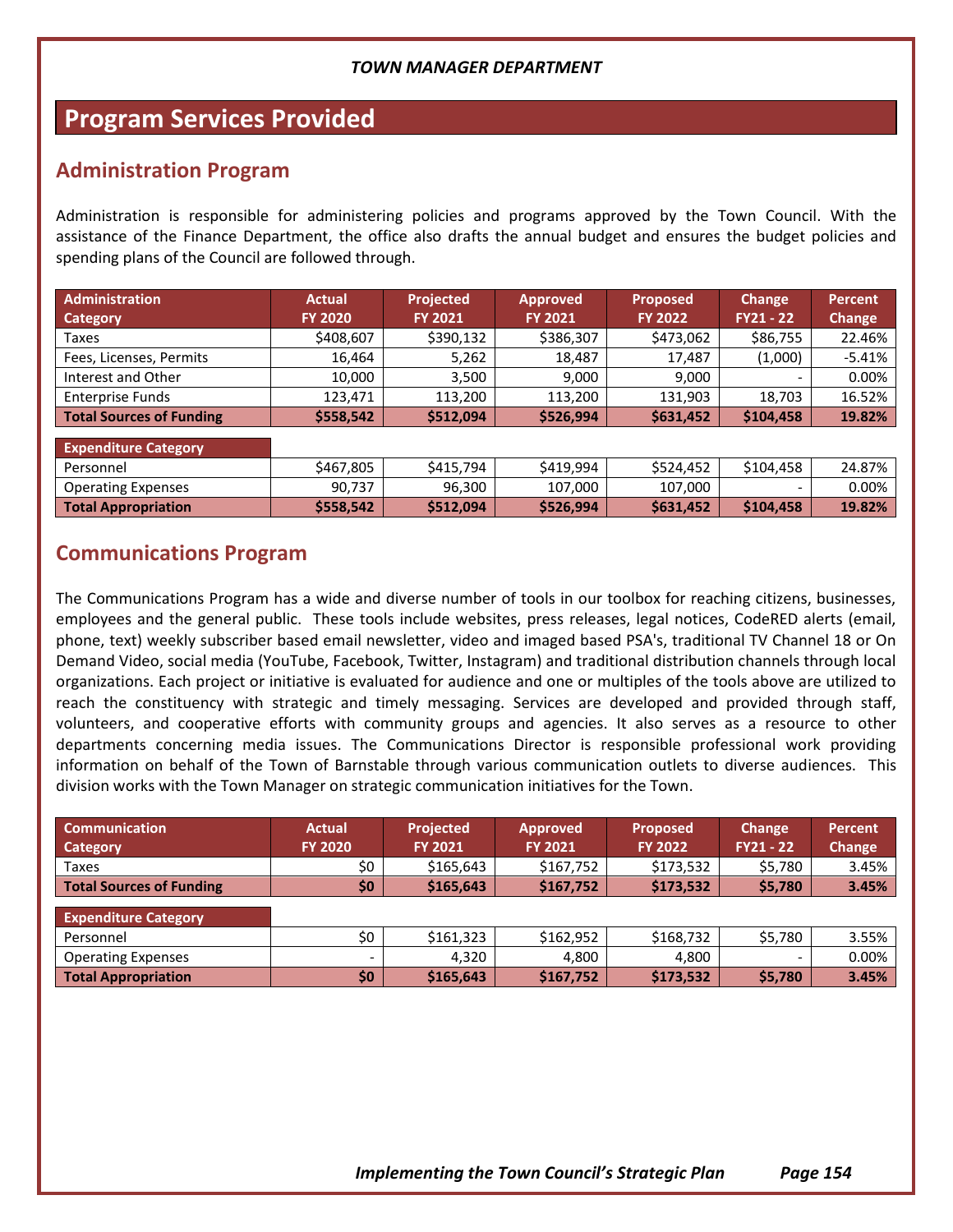# **Program Services Provided**

### **Administration Program**

Administration is responsible for administering policies and programs approved by the Town Council. With the assistance of the Finance Department, the office also drafts the annual budget and ensures the budget policies and spending plans of the Council are followed through.

| Administration                  | <b>Actual</b>  | Projected      | <b>Approved</b> | <b>Proposed</b> | <b>Change</b>            | <b>Percent</b> |
|---------------------------------|----------------|----------------|-----------------|-----------------|--------------------------|----------------|
| <b>Category</b>                 | <b>FY 2020</b> | <b>FY 2021</b> | <b>FY 2021</b>  | <b>FY 2022</b>  | $FY21 - 22$              | Change         |
| Taxes                           | \$408,607      | \$390,132      | \$386,307       | \$473,062       | \$86,755                 | 22.46%         |
| Fees, Licenses, Permits         | 16,464         | 5,262          | 18,487          | 17,487          | (1,000)                  | $-5.41%$       |
| Interest and Other              | 10,000         | 3,500          | 9,000           | 9,000           | $\overline{\phantom{a}}$ | 0.00%          |
| <b>Enterprise Funds</b>         | 123,471        | 113,200        | 113,200         | 131,903         | 18,703                   | 16.52%         |
| <b>Total Sources of Funding</b> | \$558,542      | \$512,094      | \$526,994       | \$631,452       | \$104,458                | 19.82%         |
| <b>Expenditure Category</b>     |                |                |                 |                 |                          |                |
| Personnel                       | \$467,805      | \$415,794      | \$419,994       | \$524,452       | \$104,458                | 24.87%         |
| <b>Operating Expenses</b>       | 90,737         | 96,300         | 107,000         | 107,000         | $\overline{\phantom{a}}$ | 0.00%          |
| <b>Total Appropriation</b>      | \$558,542      | \$512,094      | \$526,994       | \$631,452       | \$104,458                | 19.82%         |

### **Communications Program**

The Communications Program has a wide and diverse number of tools in our toolbox for reaching citizens, businesses, employees and the general public. These tools include websites, press releases, legal notices, CodeRED alerts (email, phone, text) weekly subscriber based email newsletter, video and imaged based PSA's, traditional TV Channel 18 or On Demand Video, social media (YouTube, Facebook, Twitter, Instagram) and traditional distribution channels through local organizations. Each project or initiative is evaluated for audience and one or multiples of the tools above are utilized to reach the constituency with strategic and timely messaging. Services are developed and provided through staff, volunteers, and cooperative efforts with community groups and agencies. It also serves as a resource to other departments concerning media issues. The Communications Director is responsible professional work providing information on behalf of the Town of Barnstable through various communication outlets to diverse audiences. This division works with the Town Manager on strategic communication initiatives for the Town.

| <b>Communication</b>            | <b>Actual</b>            | Projected      | <b>Approved</b> | <b>Proposed</b> | Change      | <b>Percent</b> |
|---------------------------------|--------------------------|----------------|-----------------|-----------------|-------------|----------------|
| Category                        | <b>FY 2020</b>           | <b>FY 2021</b> | <b>FY 2021</b>  | <b>FY 2022</b>  | $FY21 - 22$ | Change         |
| Taxes                           | \$0                      | \$165,643      | \$167,752       | \$173,532       | \$5,780     | 3.45%          |
| <b>Total Sources of Funding</b> | \$0                      | \$165,643      | \$167,752       | \$173,532       | \$5,780     | 3.45%          |
| <b>Expenditure Category</b>     |                          |                |                 |                 |             |                |
| Personnel                       | \$0                      | \$161,323      | \$162,952       | \$168,732       | \$5,780     | 3.55%          |
| <b>Operating Expenses</b>       | $\overline{\phantom{0}}$ | 4,320          | 4.800           | 4.800           | -           | 0.00%          |
| <b>Total Appropriation</b>      | \$0\$                    | \$165,643      | \$167,752       | \$173,532       | \$5,780     | 3.45%          |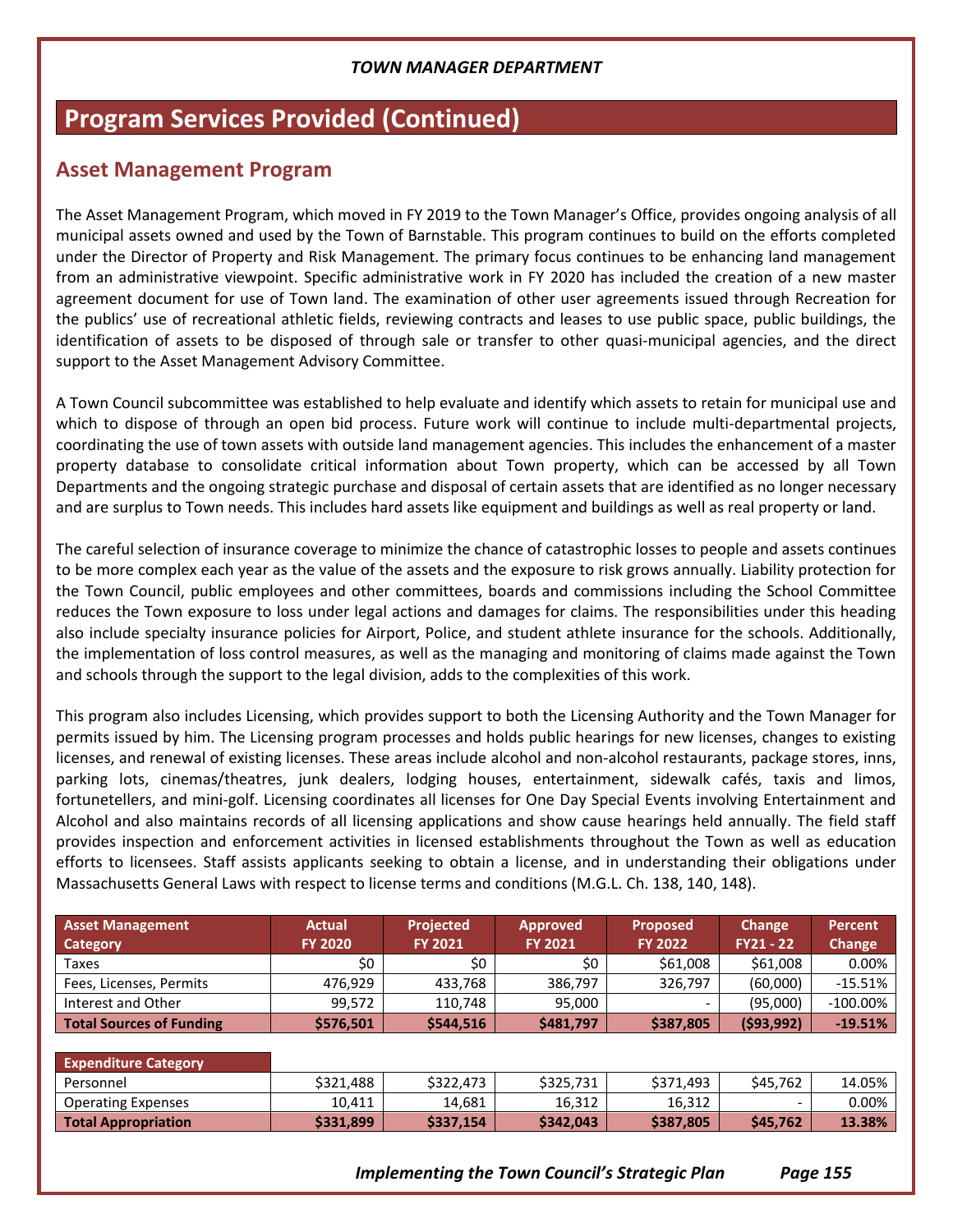# **Program Services Provided (Continued)**

### **Asset Management Program**

The Asset Management Program, which moved in FY 2019 to the Town Manager's Office, provides ongoing analysis of all municipal assets owned and used by the Town of Barnstable. This program continues to build on the efforts completed under the Director of Property and Risk Management. The primary focus continues to be enhancing land management from an administrative viewpoint. Specific administrative work in FY 2020 has included the creation of a new master agreement document for use of Town land. The examination of other user agreements issued through Recreation for the publics' use of recreational athletic fields, reviewing contracts and leases to use public space, public buildings, the identification of assets to be disposed of through sale or transfer to other quasi-municipal agencies, and the direct support to the Asset Management Advisory Committee.

A Town Council subcommittee was established to help evaluate and identify which assets to retain for municipal use and which to dispose of through an open bid process. Future work will continue to include multi-departmental projects, coordinating the use of town assets with outside land management agencies. This includes the enhancement of a master property database to consolidate critical information about Town property, which can be accessed by all Town Departments and the ongoing strategic purchase and disposal of certain assets that are identified as no longer necessary and are surplus to Town needs. This includes hard assets like equipment and buildings as well as real property or land.

The careful selection of insurance coverage to minimize the chance of catastrophic losses to people and assets continues to be more complex each year as the value of the assets and the exposure to risk grows annually. Liability protection for the Town Council, public employees and other committees, boards and commissions including the School Committee reduces the Town exposure to loss under legal actions and damages for claims. The responsibilities under this heading also include specialty insurance policies for Airport, Police, and student athlete insurance for the schools. Additionally, the implementation of loss control measures, as well as the managing and monitoring of claims made against the Town and schools through the support to the legal division, adds to the complexities of this work.

This program also includes Licensing, which provides support to both the Licensing Authority and the Town Manager for permits issued by him. The Licensing program processes and holds public hearings for new licenses, changes to existing licenses, and renewal of existing licenses. These areas include alcohol and non-alcohol restaurants, package stores, inns, parking lots, cinemas/theatres, junk dealers, lodging houses, entertainment, sidewalk cafés, taxis and limos, fortunetellers, and mini-golf. Licensing coordinates all licenses for One Day Special Events involving Entertainment and Alcohol and also maintains records of all licensing applications and show cause hearings held annually. The field staff provides inspection and enforcement activities in licensed establishments throughout the Town as well as education efforts to licensees. Staff assists applicants seeking to obtain a license, and in understanding their obligations under Massachusetts General Laws with respect to license terms and conditions (M.G.L. Ch. 138, 140, 148).

| <b>Asset Management</b><br><b>Category</b> | <b>Actual</b><br><b>FY 2020</b> | <b>Projected</b><br><b>FY 2021</b> | <b>Approved</b><br><b>FY 2021</b> | <b>Proposed</b><br><b>FY 2022</b> | <b>Change</b><br>$FY21 - 22$ | <b>Percent</b><br><b>Change</b> |
|--------------------------------------------|---------------------------------|------------------------------------|-----------------------------------|-----------------------------------|------------------------------|---------------------------------|
| Taxes                                      | \$0                             | \$0                                | \$0                               | \$61,008                          | \$61,008                     | 0.00%                           |
| Fees, Licenses, Permits                    | 476,929                         | 433,768                            | 386,797                           | 326,797                           | (60,000)                     | $-15.51%$                       |
| Interest and Other                         | 99,572                          | 110,748                            | 95,000                            | -                                 | (95,000)                     | $-100.00\%$                     |
| Total Sources of Funding                   | \$576,501                       | \$544,516                          | \$481,797                         | \$387,805                         | (593, 992)                   | $-19.51%$                       |
|                                            |                                 |                                    |                                   |                                   |                              |                                 |
| <b>Expenditure Category</b>                |                                 |                                    |                                   |                                   |                              |                                 |
| Personnel                                  | \$321,488                       | \$322,473                          | \$325,731                         | \$371,493                         | \$45,762                     | 14.05%                          |
| <b>Operating Expenses</b>                  | 10,411                          | 14,681                             | 16,312                            | 16,312                            | $\overline{\phantom{a}}$     | 0.00%                           |
| <b>Total Appropriation</b>                 | \$331,899                       | \$337,154                          | \$342,043                         | \$387,805                         | \$45,762                     | 13.38%                          |
|                                            |                                 |                                    |                                   |                                   |                              |                                 |

*Implementing the Town Council's Strategic Plan Page 155*